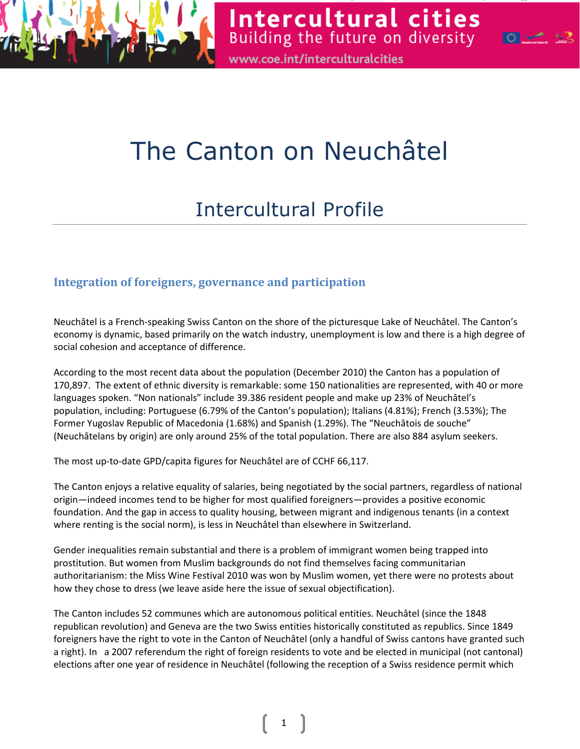

Building the future on diversity www.coe.int/interculturalcities

Intercultural cities

 $\mathbb{Z}$ 

# The Canton on Neuchâtel

# Intercultural Profile

# Integration of foreigners, governance and participation

Neuchâtel is a French-speaking Swiss Canton on the shore of the picturesque Lake of Neuchâtel. The Canton's economy is dynamic, based primarily on the watch industry, unemployment is low and there is a high degree of social cohesion and acceptance of difference.

According to the most recent data about the population (December 2010) the Canton has a population of 170,897. The extent of ethnic diversity is remarkable: some 150 nationalities are represented, with 40 or more languages spoken. "Non nationals" include 39.386 resident people and make up 23% of Neuchâtel's population, including: Portuguese (6.79% of the Canton's population); Italians (4.81%); French (3.53%); The Former Yugoslav Republic of Macedonia (1.68%) and Spanish (1.29%). The "Neuchâtois de souche" (Neuchâtelans by origin) are only around 25% of the total population. There are also 884 asylum seekers.

The most up-to-date GPD/capita figures for Neuchâtel are of CCHF 66,117.

The Canton enjoys a relative equality of salaries, being negotiated by the social partners, regardless of national origin—indeed incomes tend to be higher for most qualified foreigners—provides a positive economic foundation. And the gap in access to quality housing, between migrant and indigenous tenants (in a context where renting is the social norm), is less in Neuchâtel than elsewhere in Switzerland.

Gender inequalities remain substantial and there is a problem of immigrant women being trapped into prostitution. But women from Muslim backgrounds do not find themselves facing communitarian authoritarianism: the Miss Wine Festival 2010 was won by Muslim women, yet there were no protests about how they chose to dress (we leave aside here the issue of sexual objectification).

The Canton includes 52 communes which are autonomous political entities. Neuchâtel (since the 1848 republican revolution) and Geneva are the two Swiss entities historically constituted as republics. Since 1849 foreigners have the right to vote in the Canton of Neuchâtel (only a handful of Swiss cantons have granted such a right). In a 2007 referendum the right of foreign residents to vote and be elected in municipal (not cantonal) elections after one year of residence in Neuchâtel (following the reception of a Swiss residence permit which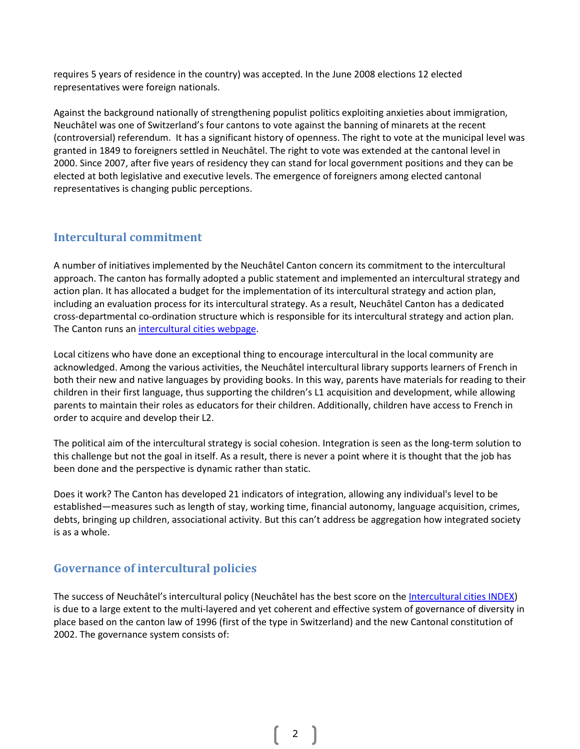requires 5 years of residence in the country) was accepted. In the June 2008 elections 12 elected representatives were foreign nationals.

Against the background nationally of strengthening populist politics exploiting anxieties about immigration, Neuchâtel was one of Switzerland's four cantons to vote against the banning of minarets at the recent (controversial) referendum. It has a significant history of openness. The right to vote at the municipal level was granted in 1849 to foreigners settled in Neuchâtel. The right to vote was extended at the cantonal level in 2000. Since 2007, after five years of residency they can stand for local government positions and they can be elected at both legislative and executive levels. The emergence of foreigners among elected cantonal representatives is changing public perceptions.

## Intercultural commitment

A number of initiatives implemented by the Neuchâtel Canton concern its commitment to the intercultural approach. The canton has formally adopted a public statement and implemented an intercultural strategy and action plan. It has allocated a budget for the implementation of its intercultural strategy and action plan, including an evaluation process for its intercultural strategy. As a result, Neuchâtel Canton has a dedicated cross-departmental co-ordination structure which is responsible for its intercultural strategy and action plan. The Canton runs an intercultural cities webpage.

Local citizens who have done an exceptional thing to encourage intercultural in the local community are acknowledged. Among the various activities, the Neuchâtel intercultural library supports learners of French in both their new and native languages by providing books. In this way, parents have materials for reading to their children in their first language, thus supporting the children's L1 acquisition and development, while allowing parents to maintain their roles as educators for their children. Additionally, children have access to French in order to acquire and develop their L2.

The political aim of the intercultural strategy is social cohesion. Integration is seen as the long-term solution to this challenge but not the goal in itself. As a result, there is never a point where it is thought that the job has been done and the perspective is dynamic rather than static.

Does it work? The Canton has developed 21 indicators of integration, allowing any individual's level to be established—measures such as length of stay, working time, financial autonomy, language acquisition, crimes, debts, bringing up children, associational activity. But this can't address be aggregation how integrated society is as a whole.

## Governance of intercultural policies

The success of Neuchâtel's intercultural policy (Neuchâtel has the best score on the Intercultural cities INDEX) is due to a large extent to the multi-layered and yet coherent and effective system of governance of diversity in place based on the canton law of 1996 (first of the type in Switzerland) and the new Cantonal constitution of 2002. The governance system consists of: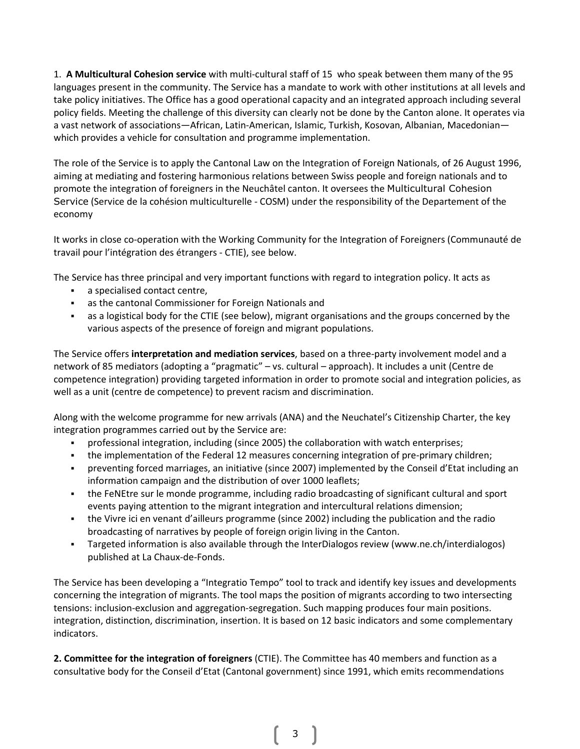1. A Multicultural Cohesion service with multi-cultural staff of 15 who speak between them many of the 95 languages present in the community. The Service has a mandate to work with other institutions at all levels and take policy initiatives. The Office has a good operational capacity and an integrated approach including several policy fields. Meeting the challenge of this diversity can clearly not be done by the Canton alone. It operates via a vast network of associations—African, Latin-American, Islamic, Turkish, Kosovan, Albanian, Macedonian which provides a vehicle for consultation and programme implementation.

The role of the Service is to apply the Cantonal Law on the Integration of Foreign Nationals, of 26 August 1996, aiming at mediating and fostering harmonious relations between Swiss people and foreign nationals and to promote the integration of foreigners in the Neuchâtel canton. It oversees the Multicultural Cohesion Service (Service de la cohésion multiculturelle - COSM) under the responsibility of the Departement of the economy

It works in close co-operation with the Working Community for the Integration of Foreigners (Communauté de travail pour l'intégration des étrangers - CTIE), see below.

The Service has three principal and very important functions with regard to integration policy. It acts as

- a specialised contact centre,
- as the cantonal Commissioner for Foreign Nationals and
- as a logistical body for the CTIE (see below), migrant organisations and the groups concerned by the various aspects of the presence of foreign and migrant populations.

The Service offers interpretation and mediation services, based on a three-party involvement model and a network of 85 mediators (adopting a "pragmatic" – vs. cultural – approach). It includes a unit (Centre de competence integration) providing targeted information in order to promote social and integration policies, as well as a unit (centre de competence) to prevent racism and discrimination.

Along with the welcome programme for new arrivals (ANA) and the Neuchatel's Citizenship Charter, the key integration programmes carried out by the Service are:

- professional integration, including (since 2005) the collaboration with watch enterprises;
- the implementation of the Federal 12 measures concerning integration of pre-primary children;
- preventing forced marriages, an initiative (since 2007) implemented by the Conseil d'Etat including an information campaign and the distribution of over 1000 leaflets;
- the FeNEtre sur le monde programme, including radio broadcasting of significant cultural and sport events paying attention to the migrant integration and intercultural relations dimension;
- the Vivre ici en venant d'ailleurs programme (since 2002) including the publication and the radio broadcasting of narratives by people of foreign origin living in the Canton.
- Targeted information is also available through the InterDialogos review (www.ne.ch/interdialogos) published at La Chaux-de-Fonds.

The Service has been developing a "Integratio Tempo" tool to track and identify key issues and developments concerning the integration of migrants. The tool maps the position of migrants according to two intersecting tensions: inclusion-exclusion and aggregation-segregation. Such mapping produces four main positions. integration, distinction, discrimination, insertion. It is based on 12 basic indicators and some complementary indicators.

2. Committee for the integration of foreigners (CTIE). The Committee has 40 members and function as a consultative body for the Conseil d'Etat (Cantonal government) since 1991, which emits recommendations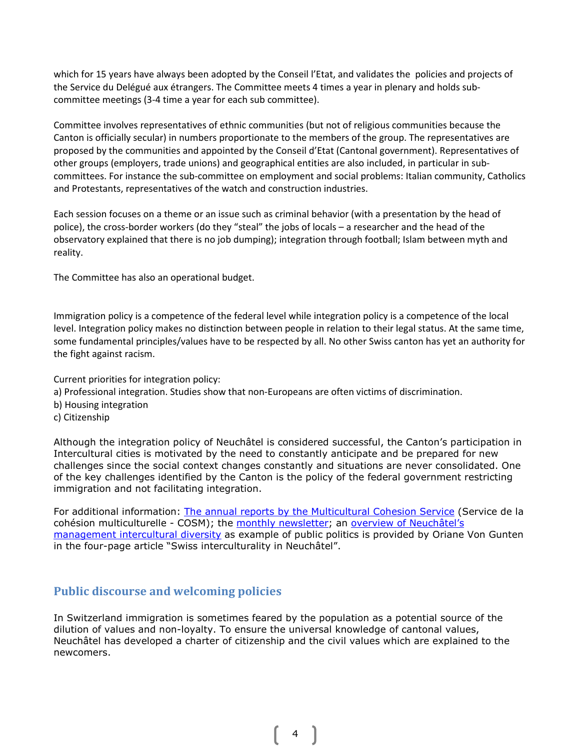which for 15 years have always been adopted by the Conseil l'Etat, and validates the policies and projects of the Service du Delégué aux étrangers. The Committee meets 4 times a year in plenary and holds subcommittee meetings (3-4 time a year for each sub committee).

Committee involves representatives of ethnic communities (but not of religious communities because the Canton is officially secular) in numbers proportionate to the members of the group. The representatives are proposed by the communities and appointed by the Conseil d'Etat (Cantonal government). Representatives of other groups (employers, trade unions) and geographical entities are also included, in particular in subcommittees. For instance the sub-committee on employment and social problems: Italian community, Catholics and Protestants, representatives of the watch and construction industries.

Each session focuses on a theme or an issue such as criminal behavior (with a presentation by the head of police), the cross-border workers (do they "steal" the jobs of locals – a researcher and the head of the observatory explained that there is no job dumping); integration through football; Islam between myth and reality.

The Committee has also an operational budget.

Immigration policy is a competence of the federal level while integration policy is a competence of the local level. Integration policy makes no distinction between people in relation to their legal status. At the same time, some fundamental principles/values have to be respected by all. No other Swiss canton has yet an authority for the fight against racism.

Current priorities for integration policy:

- a) Professional integration. Studies show that non-Europeans are often victims of discrimination.
- b) Housing integration
- c) Citizenship

Although the integration policy of Neuchâtel is considered successful, the Canton's participation in Intercultural cities is motivated by the need to constantly anticipate and be prepared for new challenges since the social context changes constantly and situations are never consolidated. One of the key challenges identified by the Canton is the policy of the federal government restricting immigration and not facilitating integration.

For additional information: The annual reports by the Multicultural Cohesion Service (Service de la cohésion multiculturelle - COSM); the monthly newsletter; an overview of Neuchâtel's management intercultural diversity as example of public politics is provided by Oriane Von Gunten in the four-page article "Swiss interculturality in Neuchâtel".

## Public discourse and welcoming policies

In Switzerland immigration is sometimes feared by the population as a potential source of the dilution of values and non-loyalty. To ensure the universal knowledge of cantonal values, Neuchâtel has developed a charter of citizenship and the civil values which are explained to the newcomers.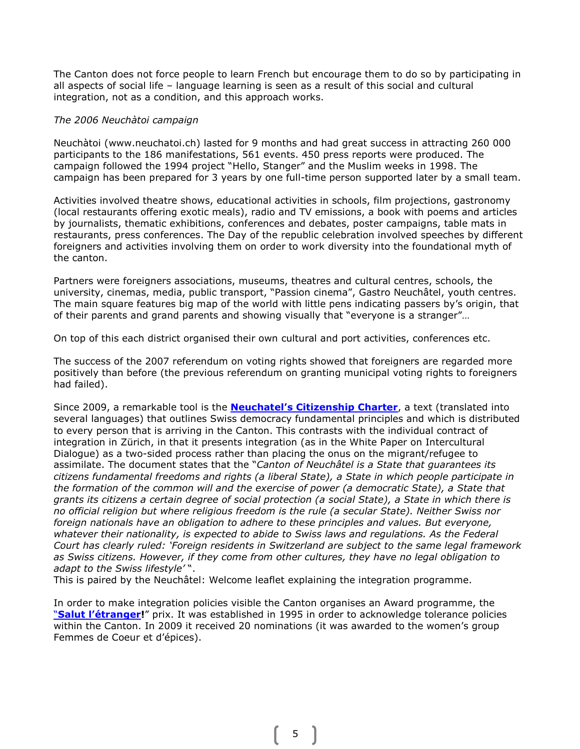The Canton does not force people to learn French but encourage them to do so by participating in all aspects of social life – language learning is seen as a result of this social and cultural integration, not as a condition, and this approach works.

#### The 2006 Neuchàtoi campaign

Neuchàtoi (www.neuchatoi.ch) lasted for 9 months and had great success in attracting 260 000 participants to the 186 manifestations, 561 events. 450 press reports were produced. The campaign followed the 1994 project "Hello, Stanger" and the Muslim weeks in 1998. The campaign has been prepared for 3 years by one full-time person supported later by a small team.

Activities involved theatre shows, educational activities in schools, film projections, gastronomy (local restaurants offering exotic meals), radio and TV emissions, a book with poems and articles by journalists, thematic exhibitions, conferences and debates, poster campaigns, table mats in restaurants, press conferences. The Day of the republic celebration involved speeches by different foreigners and activities involving them on order to work diversity into the foundational myth of the canton.

Partners were foreigners associations, museums, theatres and cultural centres, schools, the university, cinemas, media, public transport, "Passion cinema", Gastro Neuchâtel, youth centres. The main square features big map of the world with little pens indicating passers by's origin, that of their parents and grand parents and showing visually that "everyone is a stranger"…

On top of this each district organised their own cultural and port activities, conferences etc.

The success of the 2007 referendum on voting rights showed that foreigners are regarded more positively than before (the previous referendum on granting municipal voting rights to foreigners had failed).

Since 2009, a remarkable tool is the **Neuchatel's Citizenship Charter**, a text (translated into several languages) that outlines Swiss democracy fundamental principles and which is distributed to every person that is arriving in the Canton. This contrasts with the individual contract of integration in Zürich, in that it presents integration (as in the White Paper on Intercultural Dialogue) as a two-sided process rather than placing the onus on the migrant/refugee to assimilate. The document states that the "Canton of Neuchâtel is a State that quarantees its citizens fundamental freedoms and rights (a liberal State), a State in which people participate in the formation of the common will and the exercise of power (a democratic State), a State that grants its citizens a certain degree of social protection (a social State), a State in which there is no official religion but where religious freedom is the rule (a secular State). Neither Swiss nor foreign nationals have an obligation to adhere to these principles and values. But everyone, whatever their nationality, is expected to abide to Swiss laws and regulations. As the Federal Court has clearly ruled: 'Foreign residents in Switzerland are subject to the same legal framework as Swiss citizens. However, if they come from other cultures, they have no legal obligation to adapt to the Swiss lifestyle'".

This is paired by the Neuchâtel: Welcome leaflet explaining the integration programme.

In order to make integration policies visible the Canton organises an Award programme, the "Salut l'étranger!" prix. It was established in 1995 in order to acknowledge tolerance policies within the Canton. In 2009 it received 20 nominations (it was awarded to the women's group Femmes de Coeur et d'épices).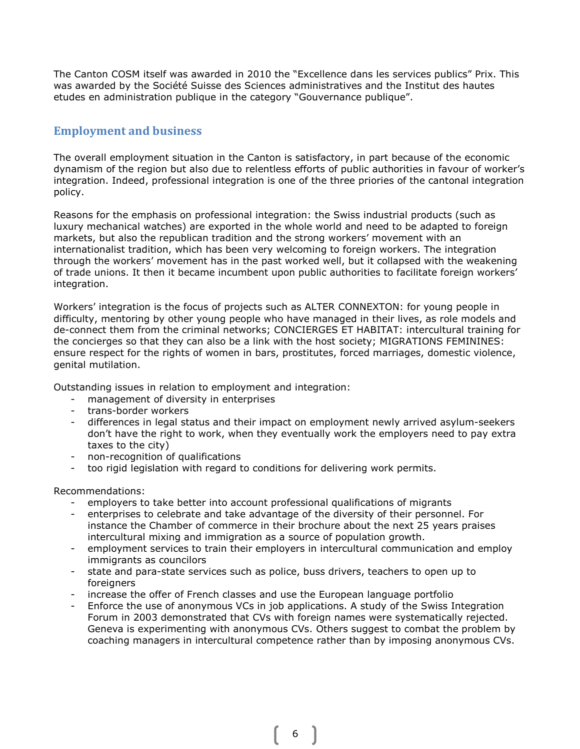The Canton COSM itself was awarded in 2010 the "Excellence dans les services publics" Prix. This was awarded by the Société Suisse des Sciences administratives and the Institut des hautes etudes en administration publique in the category "Gouvernance publique".

# Employment and business

The overall employment situation in the Canton is satisfactory, in part because of the economic dynamism of the region but also due to relentless efforts of public authorities in favour of worker's integration. Indeed, professional integration is one of the three priories of the cantonal integration policy.

Reasons for the emphasis on professional integration: the Swiss industrial products (such as luxury mechanical watches) are exported in the whole world and need to be adapted to foreign markets, but also the republican tradition and the strong workers' movement with an internationalist tradition, which has been very welcoming to foreign workers. The integration through the workers' movement has in the past worked well, but it collapsed with the weakening of trade unions. It then it became incumbent upon public authorities to facilitate foreign workers' integration.

Workers' integration is the focus of projects such as ALTER CONNEXTON: for young people in difficulty, mentoring by other young people who have managed in their lives, as role models and de-connect them from the criminal networks; CONCIERGES ET HABITAT: intercultural training for the concierges so that they can also be a link with the host society; MIGRATIONS FEMININES: ensure respect for the rights of women in bars, prostitutes, forced marriages, domestic violence, genital mutilation.

Outstanding issues in relation to employment and integration:

- management of diversity in enterprises
- trans-border workers
- differences in legal status and their impact on employment newly arrived asylum-seekers don't have the right to work, when they eventually work the employers need to pay extra taxes to the city)
- non-recognition of qualifications
- too rigid legislation with regard to conditions for delivering work permits.

Recommendations:

- employers to take better into account professional qualifications of migrants
- enterprises to celebrate and take advantage of the diversity of their personnel. For instance the Chamber of commerce in their brochure about the next 25 years praises intercultural mixing and immigration as a source of population growth.
- employment services to train their employers in intercultural communication and employ immigrants as councilors
- state and para-state services such as police, buss drivers, teachers to open up to foreigners
- increase the offer of French classes and use the European language portfolio
- Enforce the use of anonymous VCs in job applications. A study of the Swiss Integration Forum in 2003 demonstrated that CVs with foreign names were systematically rejected. Geneva is experimenting with anonymous CVs. Others suggest to combat the problem by coaching managers in intercultural competence rather than by imposing anonymous CVs.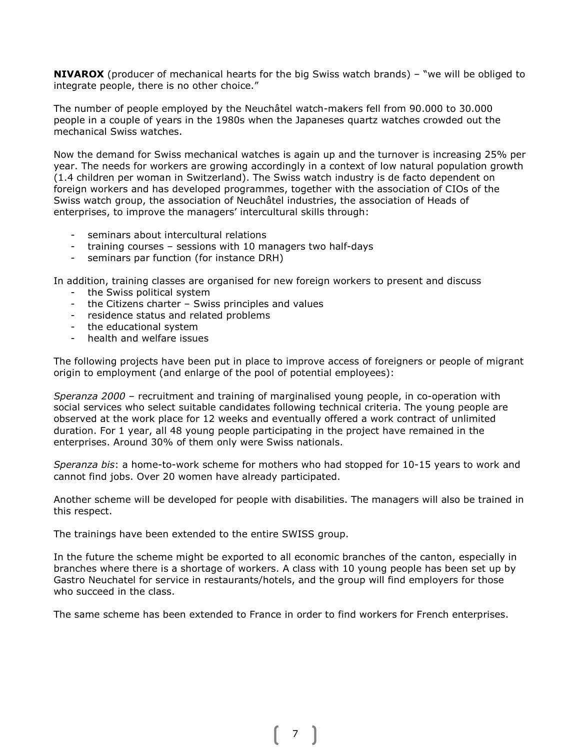**NIVAROX** (producer of mechanical hearts for the big Swiss watch brands) – "we will be obliged to integrate people, there is no other choice."

The number of people employed by the Neuchâtel watch-makers fell from 90.000 to 30.000 people in a couple of years in the 1980s when the Japaneses quartz watches crowded out the mechanical Swiss watches.

Now the demand for Swiss mechanical watches is again up and the turnover is increasing 25% per year. The needs for workers are growing accordingly in a context of low natural population growth (1.4 children per woman in Switzerland). The Swiss watch industry is de facto dependent on foreign workers and has developed programmes, together with the association of CIOs of the Swiss watch group, the association of Neuchâtel industries, the association of Heads of enterprises, to improve the managers' intercultural skills through:

- seminars about intercultural relations
- training courses sessions with 10 managers two half-days
- seminars par function (for instance DRH)

In addition, training classes are organised for new foreign workers to present and discuss

- the Swiss political system
- the Citizens charter Swiss principles and values
- residence status and related problems
- the educational system
- health and welfare issues

The following projects have been put in place to improve access of foreigners or people of migrant origin to employment (and enlarge of the pool of potential employees):

Speranza 2000 – recruitment and training of marginalised young people, in co-operation with social services who select suitable candidates following technical criteria. The young people are observed at the work place for 12 weeks and eventually offered a work contract of unlimited duration. For 1 year, all 48 young people participating in the project have remained in the enterprises. Around 30% of them only were Swiss nationals.

Speranza bis: a home-to-work scheme for mothers who had stopped for 10-15 years to work and cannot find jobs. Over 20 women have already participated.

Another scheme will be developed for people with disabilities. The managers will also be trained in this respect.

The trainings have been extended to the entire SWISS group.

In the future the scheme might be exported to all economic branches of the canton, especially in branches where there is a shortage of workers. A class with 10 young people has been set up by Gastro Neuchatel for service in restaurants/hotels, and the group will find employers for those who succeed in the class.

The same scheme has been extended to France in order to find workers for French enterprises.

7 ]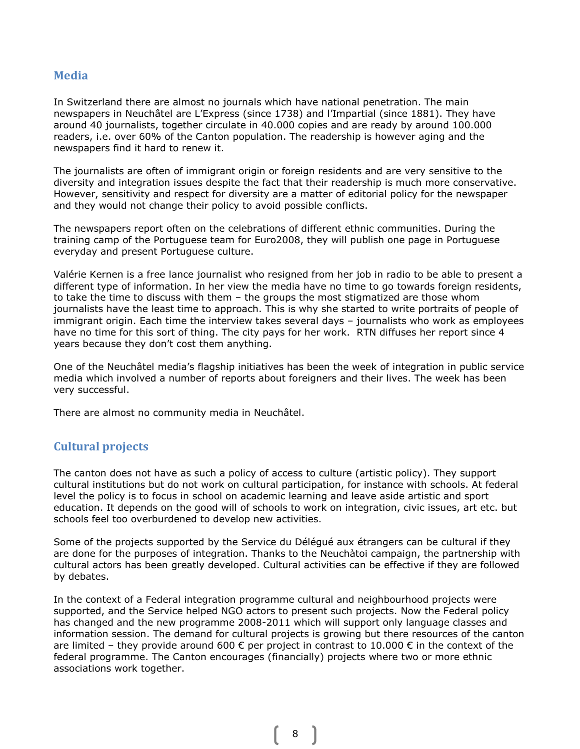#### Media

In Switzerland there are almost no journals which have national penetration. The main newspapers in Neuchâtel are L'Express (since 1738) and l'Impartial (since 1881). They have around 40 journalists, together circulate in 40.000 copies and are ready by around 100.000 readers, i.e. over 60% of the Canton population. The readership is however aging and the newspapers find it hard to renew it.

The journalists are often of immigrant origin or foreign residents and are very sensitive to the diversity and integration issues despite the fact that their readership is much more conservative. However, sensitivity and respect for diversity are a matter of editorial policy for the newspaper and they would not change their policy to avoid possible conflicts.

The newspapers report often on the celebrations of different ethnic communities. During the training camp of the Portuguese team for Euro2008, they will publish one page in Portuguese everyday and present Portuguese culture.

Valérie Kernen is a free lance journalist who resigned from her job in radio to be able to present a different type of information. In her view the media have no time to go towards foreign residents, to take the time to discuss with them – the groups the most stigmatized are those whom journalists have the least time to approach. This is why she started to write portraits of people of immigrant origin. Each time the interview takes several days – journalists who work as employees have no time for this sort of thing. The city pays for her work. RTN diffuses her report since 4 years because they don't cost them anything.

One of the Neuchâtel media's flagship initiatives has been the week of integration in public service media which involved a number of reports about foreigners and their lives. The week has been very successful.

There are almost no community media in Neuchâtel.

## Cultural projects

The canton does not have as such a policy of access to culture (artistic policy). They support cultural institutions but do not work on cultural participation, for instance with schools. At federal level the policy is to focus in school on academic learning and leave aside artistic and sport education. It depends on the good will of schools to work on integration, civic issues, art etc. but schools feel too overburdened to develop new activities.

Some of the projects supported by the Service du Délégué aux étrangers can be cultural if they are done for the purposes of integration. Thanks to the Neuchàtoi campaign, the partnership with cultural actors has been greatly developed. Cultural activities can be effective if they are followed by debates.

In the context of a Federal integration programme cultural and neighbourhood projects were supported, and the Service helped NGO actors to present such projects. Now the Federal policy has changed and the new programme 2008-2011 which will support only language classes and information session. The demand for cultural projects is growing but there resources of the canton are limited – they provide around 600  $\epsilon$  per project in contrast to 10.000  $\epsilon$  in the context of the federal programme. The Canton encourages (financially) projects where two or more ethnic associations work together.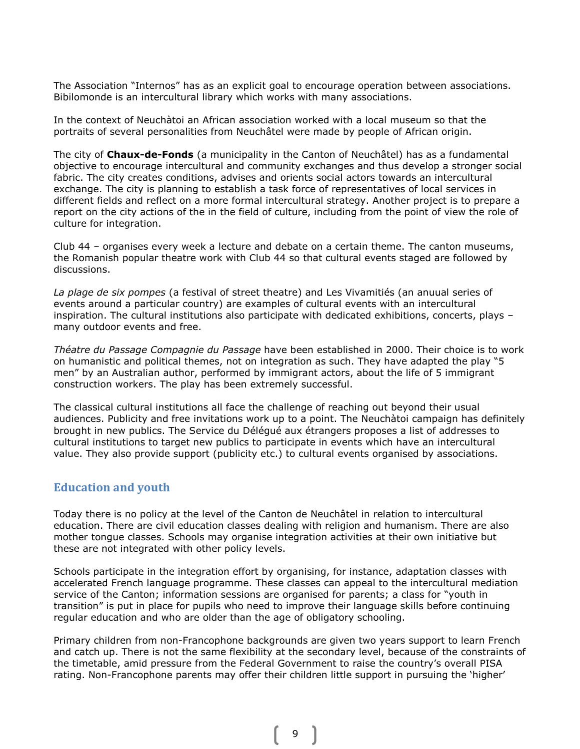The Association "Internos" has as an explicit goal to encourage operation between associations. Bibilomonde is an intercultural library which works with many associations.

In the context of Neuchàtoi an African association worked with a local museum so that the portraits of several personalities from Neuchâtel were made by people of African origin.

The city of **Chaux-de-Fonds** (a municipality in the Canton of Neuchâtel) has as a fundamental objective to encourage intercultural and community exchanges and thus develop a stronger social fabric. The city creates conditions, advises and orients social actors towards an intercultural exchange. The city is planning to establish a task force of representatives of local services in different fields and reflect on a more formal intercultural strategy. Another project is to prepare a report on the city actions of the in the field of culture, including from the point of view the role of culture for integration.

Club 44 – organises every week a lecture and debate on a certain theme. The canton museums, the Romanish popular theatre work with Club 44 so that cultural events staged are followed by discussions.

La plage de six pompes (a festival of street theatre) and Les Vivamitiés (an anuual series of events around a particular country) are examples of cultural events with an intercultural inspiration. The cultural institutions also participate with dedicated exhibitions, concerts, plays – many outdoor events and free.

Théatre du Passage Compagnie du Passage have been established in 2000. Their choice is to work on humanistic and political themes, not on integration as such. They have adapted the play "5 men" by an Australian author, performed by immigrant actors, about the life of 5 immigrant construction workers. The play has been extremely successful.

The classical cultural institutions all face the challenge of reaching out beyond their usual audiences. Publicity and free invitations work up to a point. The Neuchàtoi campaign has definitely brought in new publics. The Service du Délégué aux étrangers proposes a list of addresses to cultural institutions to target new publics to participate in events which have an intercultural value. They also provide support (publicity etc.) to cultural events organised by associations.

#### Education and youth

Today there is no policy at the level of the Canton de Neuchâtel in relation to intercultural education. There are civil education classes dealing with religion and humanism. There are also mother tongue classes. Schools may organise integration activities at their own initiative but these are not integrated with other policy levels.

Schools participate in the integration effort by organising, for instance, adaptation classes with accelerated French language programme. These classes can appeal to the intercultural mediation service of the Canton; information sessions are organised for parents; a class for "youth in transition" is put in place for pupils who need to improve their language skills before continuing regular education and who are older than the age of obligatory schooling.

Primary children from non-Francophone backgrounds are given two years support to learn French and catch up. There is not the same flexibility at the secondary level, because of the constraints of the timetable, amid pressure from the Federal Government to raise the country's overall PISA rating. Non-Francophone parents may offer their children little support in pursuing the 'higher'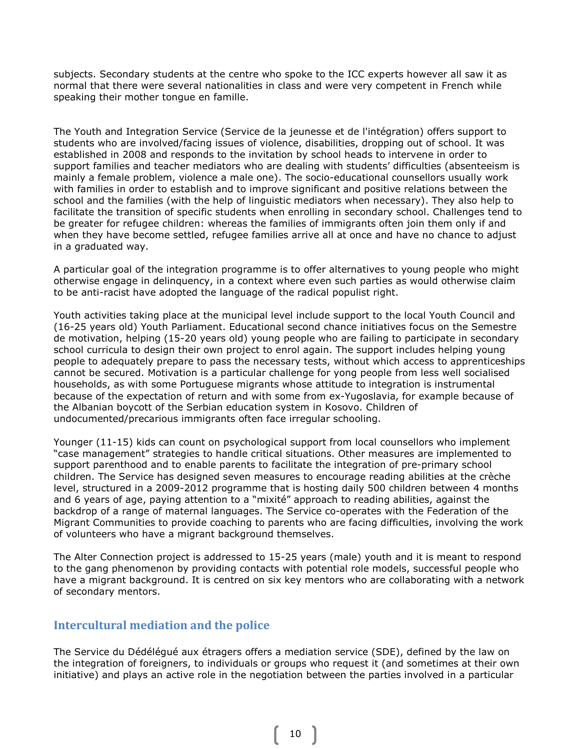subjects. Secondary students at the centre who spoke to the ICC experts however all saw it as normal that there were several nationalities in class and were very competent in French while speaking their mother tongue en famille.

The Youth and Integration Service (Service de la jeunesse et de l'intégration) offers support to students who are involved/facing issues of violence, disabilities, dropping out of school. It was established in 2008 and responds to the invitation by school heads to intervene in order to support families and teacher mediators who are dealing with students' difficulties (absenteeism is mainly a female problem, violence a male one). The socio-educational counsellors usually work with families in order to establish and to improve significant and positive relations between the school and the families (with the help of linguistic mediators when necessary). They also help to facilitate the transition of specific students when enrolling in secondary school. Challenges tend to be greater for refugee children: whereas the families of immigrants often join them only if and when they have become settled, refugee families arrive all at once and have no chance to adjust in a graduated way.

A particular goal of the integration programme is to offer alternatives to young people who might otherwise engage in delinquency, in a context where even such parties as would otherwise claim to be anti-racist have adopted the language of the radical populist right.

Youth activities taking place at the municipal level include support to the local Youth Council and (16-25 years old) Youth Parliament. Educational second chance initiatives focus on the Semestre de motivation, helping (15-20 years old) young people who are failing to participate in secondary school curricula to design their own project to enrol again. The support includes helping young people to adequately prepare to pass the necessary tests, without which access to apprenticeships cannot be secured. Motivation is a particular challenge for yong people from less well socialised households, as with some Portuguese migrants whose attitude to integration is instrumental because of the expectation of return and with some from ex-Yugoslavia, for example because of the Albanian boycott of the Serbian education system in Kosovo. Children of undocumented/precarious immigrants often face irregular schooling.

Younger (11-15) kids can count on psychological support from local counsellors who implement "case management" strategies to handle critical situations. Other measures are implemented to support parenthood and to enable parents to facilitate the integration of pre-primary school children. The Service has designed seven measures to encourage reading abilities at the crèche level, structured in a 2009-2012 programme that is hosting daily 500 children between 4 months and 6 years of age, paying attention to a "mixité" approach to reading abilities, against the backdrop of a range of maternal languages. The Service co-operates with the Federation of the Migrant Communities to provide coaching to parents who are facing difficulties, involving the work of volunteers who have a migrant background themselves.

The Alter Connection project is addressed to 15-25 years (male) youth and it is meant to respond to the gang phenomenon by providing contacts with potential role models, successful people who have a migrant background. It is centred on six key mentors who are collaborating with a network of secondary mentors.

#### Intercultural mediation and the police

The Service du Dédélégué aux étragers offers a mediation service (SDE), defined by the law on the integration of foreigners, to individuals or groups who request it (and sometimes at their own initiative) and plays an active role in the negotiation between the parties involved in a particular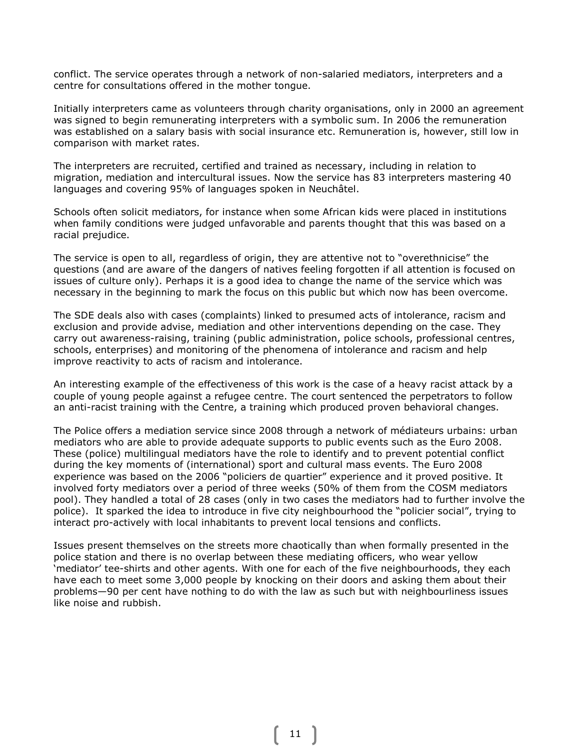conflict. The service operates through a network of non-salaried mediators, interpreters and a centre for consultations offered in the mother tongue.

Initially interpreters came as volunteers through charity organisations, only in 2000 an agreement was signed to begin remunerating interpreters with a symbolic sum. In 2006 the remuneration was established on a salary basis with social insurance etc. Remuneration is, however, still low in comparison with market rates.

The interpreters are recruited, certified and trained as necessary, including in relation to migration, mediation and intercultural issues. Now the service has 83 interpreters mastering 40 languages and covering 95% of languages spoken in Neuchâtel.

Schools often solicit mediators, for instance when some African kids were placed in institutions when family conditions were judged unfavorable and parents thought that this was based on a racial prejudice.

The service is open to all, regardless of origin, they are attentive not to "overethnicise" the questions (and are aware of the dangers of natives feeling forgotten if all attention is focused on issues of culture only). Perhaps it is a good idea to change the name of the service which was necessary in the beginning to mark the focus on this public but which now has been overcome.

The SDE deals also with cases (complaints) linked to presumed acts of intolerance, racism and exclusion and provide advise, mediation and other interventions depending on the case. They carry out awareness-raising, training (public administration, police schools, professional centres, schools, enterprises) and monitoring of the phenomena of intolerance and racism and help improve reactivity to acts of racism and intolerance.

An interesting example of the effectiveness of this work is the case of a heavy racist attack by a couple of young people against a refugee centre. The court sentenced the perpetrators to follow an anti-racist training with the Centre, a training which produced proven behavioral changes.

The Police offers a mediation service since 2008 through a network of médiateurs urbains: urban mediators who are able to provide adequate supports to public events such as the Euro 2008. These (police) multilingual mediators have the role to identify and to prevent potential conflict during the key moments of (international) sport and cultural mass events. The Euro 2008 experience was based on the 2006 "policiers de quartier" experience and it proved positive. It involved forty mediators over a period of three weeks (50% of them from the COSM mediators pool). They handled a total of 28 cases (only in two cases the mediators had to further involve the police). It sparked the idea to introduce in five city neighbourhood the "policier social", trying to interact pro-actively with local inhabitants to prevent local tensions and conflicts.

Issues present themselves on the streets more chaotically than when formally presented in the police station and there is no overlap between these mediating officers, who wear yellow 'mediator' tee-shirts and other agents. With one for each of the five neighbourhoods, they each have each to meet some 3,000 people by knocking on their doors and asking them about their problems—90 per cent have nothing to do with the law as such but with neighbourliness issues like noise and rubbish.